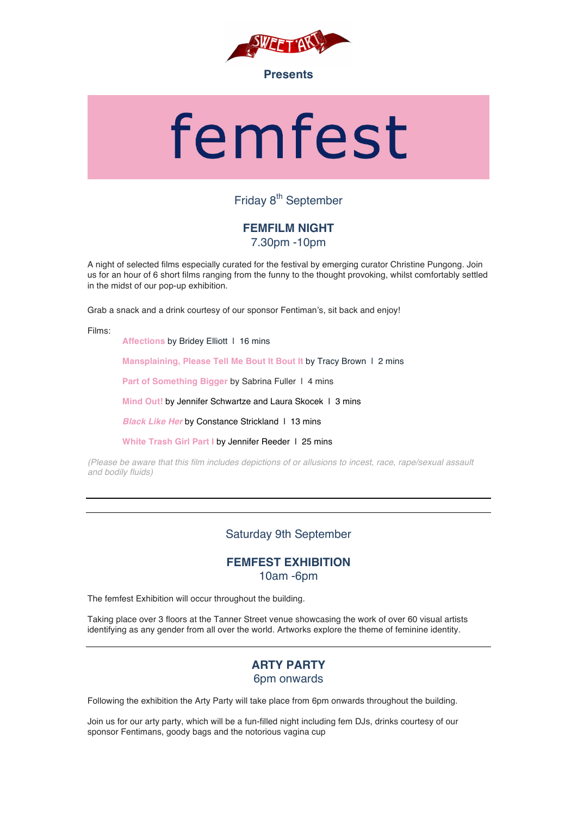

# femfest

# Friday 8<sup>th</sup> September

# **FEMFILM NIGHT** 7.30pm -10pm

A night of selected films especially curated for the festival by emerging curator Christine Pungong. Join us for an hour of 6 short films ranging from the funny to the thought provoking, whilst comfortably settled in the midst of our pop-up exhibition.

Grab a snack and a drink courtesy of our sponsor Fentiman's, sit back and enjoy!

Films:

**Affections by Bridey Elliott | 16 mins** 

**Mansplaining, Please Tell Me Bout It Bout It** by Tracy Brown | 2 mins

Part of Something Bigger by Sabrina Fuller 1 4 mins

**Mind Out!** by Jennifer Schwartze and Laura Skocek 1 3 mins

**Black Like Her by Constance Strickland 1 13 mins** 

**White Trash Girl Part I by Jennifer Reeder 1 25 mins** 

*(Please be aware that this film includes depictions of or allusions to incest, race, rape/sexual assault and bodily fluids)*

# Saturday 9th September

# **FEMFEST EXHIBITION** 10am -6pm

The femfest Exhibition will occur throughout the building.

Taking place over 3 floors at the Tanner Street venue showcasing the work of over 60 visual artists identifying as any gender from all over the world. Artworks explore the theme of feminine identity.

# **ARTY PARTY** 6pm onwards

Following the exhibition the Arty Party will take place from 6pm onwards throughout the building.

Join us for our arty party, which will be a fun-filled night including fem DJs, drinks courtesy of our sponsor Fentimans, goody bags and the notorious vagina cup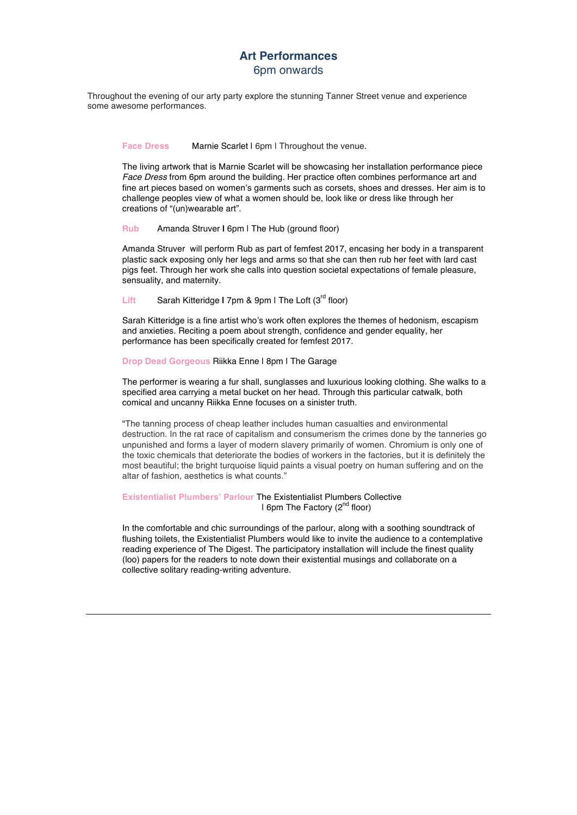Throughout the evening of our arty party explore the stunning Tanner Street venue and experience some awesome performances.

### Face Dress Marnie Scarlet | 6pm | Throughout the venue.

The living artwork that is Marnie Scarlet will be showcasing her installation performance piece *Face Dress* from 6pm around the building. Her practice often combines performance art and fine art pieces based on women's garments such as corsets, shoes and dresses. Her aim is to challenge peoples view of what a women should be, look like or dress like through her creations of "(un)wearable art".

**Rub** Amanda Struver **|** 6pm | The Hub (ground floor)

Amanda Struver will perform Rub as part of femfest 2017, encasing her body in a transparent plastic sack exposing only her legs and arms so that she can then rub her feet with lard cast pigs feet. Through her work she calls into question societal expectations of female pleasure, sensuality, and maternity.

Lift Sarah Kitteridge I 7pm & 9pm I The Loft (3<sup>rd</sup> floor)

Sarah Kitteridge is a fine artist who's work often explores the themes of hedonism, escapism and anxieties. Reciting a poem about strength, confidence and gender equality, her performance has been specifically created for femfest 2017.

**Drop Dead Gorgeous Riikka Enne | 8pm | The Garage** 

The performer is wearing a fur shall, sunglasses and luxurious looking clothing. She walks to a specified area carrying a metal bucket on her head. Through this particular catwalk, both comical and uncanny Riikka Enne focuses on a sinister truth.

"The tanning process of cheap leather includes human casualties and environmental destruction. In the rat race of capitalism and consumerism the crimes done by the tanneries go unpunished and forms a layer of modern slavery primarily of women. Chromium is only one of the toxic chemicals that deteriorate the bodies of workers in the factories, but it is definitely the most beautiful; the bright turquoise liquid paints a visual poetry on human suffering and on the altar of fashion, aesthetics is what counts."

**Existentialist Plumbers' Parlour** The Existentialist Plumbers Collective | 6pm The Factory (2nd floor)

In the comfortable and chic surroundings of the parlour, along with a soothing soundtrack of flushing toilets, the Existentialist Plumbers would like to invite the audience to a contemplative reading experience of The Digest. The participatory installation will include the finest quality (loo) papers for the readers to note down their existential musings and collaborate on a collective solitary reading-writing adventure.